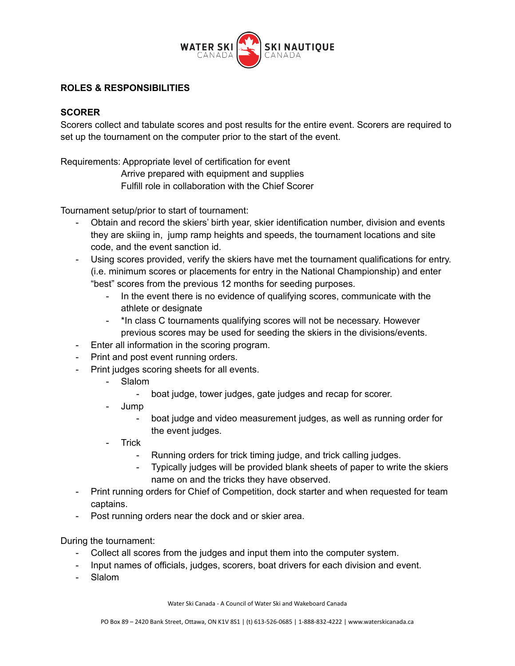

## **ROLES & RESPONSIBILITIES**

## **SCORER**

Scorers collect and tabulate scores and post results for the entire event. Scorers are required to set up the tournament on the computer prior to the start of the event.

Requirements: Appropriate level of certification for event

Arrive prepared with equipment and supplies

Fulfill role in collaboration with the Chief Scorer

Tournament setup/prior to start of tournament:

- Obtain and record the skiers' birth year, skier identification number, division and events they are skiing in, jump ramp heights and speeds, the tournament locations and site code, and the event sanction id.
- Using scores provided, verify the skiers have met the tournament qualifications for entry. (i.e. minimum scores or placements for entry in the National Championship) and enter "best" scores from the previous 12 months for seeding purposes.
	- In the event there is no evidence of qualifying scores, communicate with the athlete or designate
	- \*In class C tournaments qualifying scores will not be necessary. However previous scores may be used for seeding the skiers in the divisions/events.
- Enter all information in the scoring program.
- Print and post event running orders.
- Print judges scoring sheets for all events.
	- Slalom
		- boat judge, tower judges, gate judges and recap for scorer.
	- Jump
		- boat judge and video measurement judges, as well as running order for the event judges.
	- Trick
		- Running orders for trick timing judge, and trick calling judges.
		- Typically judges will be provided blank sheets of paper to write the skiers name on and the tricks they have observed.
- Print running orders for Chief of Competition, dock starter and when requested for team captains.
- Post running orders near the dock and or skier area.

During the tournament:

- Collect all scores from the judges and input them into the computer system.
- Input names of officials, judges, scorers, boat drivers for each division and event.
- Slalom

Water Ski Canada - A Council of Water Ski and Wakeboard Canada